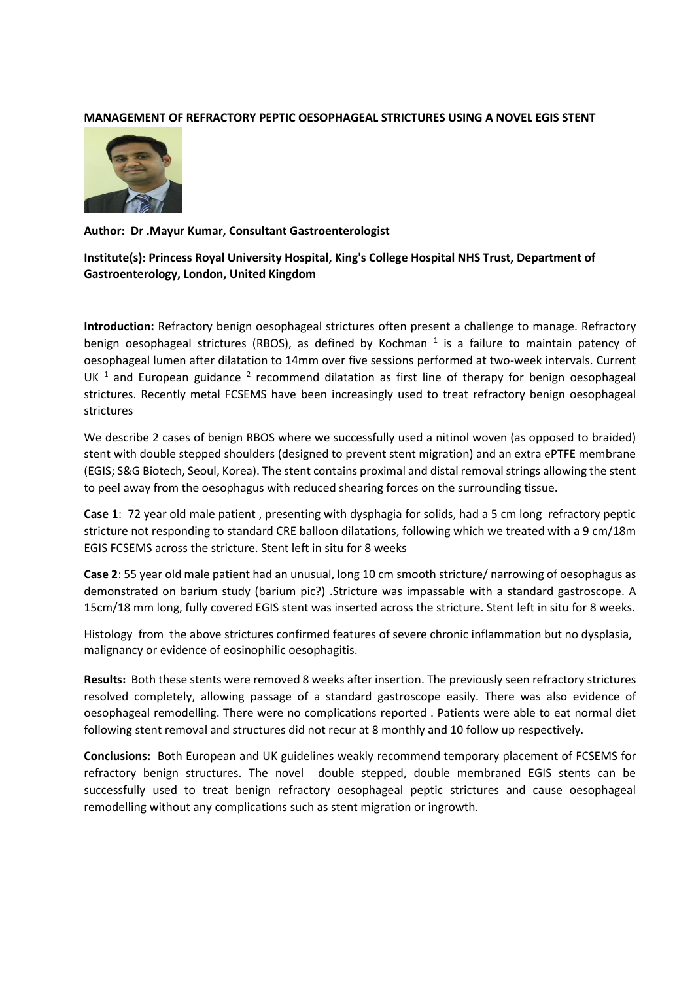## **MANAGEMENT OF REFRACTORY PEPTIC OESOPHAGEAL STRICTURES USING A NOVEL EGIS STENT**



### **Author: Dr .Mayur Kumar, Consultant Gastroenterologist**

**Institute(s): Princess Royal University Hospital, King's College Hospital NHS Trust, Department of Gastroenterology, London, United Kingdom**

**Introduction:** Refractory benign oesophageal strictures often present a challenge to manage. Refractory benign oesophageal strictures (RBOS), as defined by Kochman<sup>1</sup> is a failure to maintain patency of oesophageal lumen after dilatation to 14mm over five sessions performed at two-week intervals. Current UK  $<sup>1</sup>$  and European guidance  $<sup>2</sup>$  recommend dilatation as first line of therapy for benign oesophageal</sup></sup> strictures. Recently metal FCSEMS have been increasingly used to treat refractory benign oesophageal strictures

We describe 2 cases of benign RBOS where we successfully used a nitinol woven (as opposed to braided) stent with double stepped shoulders (designed to prevent stent migration) and an extra ePTFE membrane (EGIS; S&G Biotech, Seoul, Korea). The stent contains proximal and distal removal strings allowing the stent to peel away from the oesophagus with reduced shearing forces on the surrounding tissue.

**Case 1**: 72 year old male patient , presenting with dysphagia for solids, had a 5 cm long refractory peptic stricture not responding to standard CRE balloon dilatations, following which we treated with a 9 cm/18m EGIS FCSEMS across the stricture. Stent left in situ for 8 weeks

**Case 2**: 55 year old male patient had an unusual, long 10 cm smooth stricture/ narrowing of oesophagus as demonstrated on barium study (barium pic?) .Stricture was impassable with a standard gastroscope. A 15cm/18 mm long, fully covered EGIS stent was inserted across the stricture. Stent left in situ for 8 weeks.

Histology from the above strictures confirmed features of severe chronic inflammation but no dysplasia, malignancy or evidence of eosinophilic oesophagitis.

**Results:** Both these stents were removed 8 weeks after insertion. The previously seen refractory strictures resolved completely, allowing passage of a standard gastroscope easily. There was also evidence of oesophageal remodelling. There were no complications reported . Patients were able to eat normal diet following stent removal and structures did not recur at 8 monthly and 10 follow up respectively.

**Conclusions:** Both European and UK guidelines weakly recommend temporary placement of FCSEMS for refractory benign structures. The novel double stepped, double membraned EGIS stents can be successfully used to treat benign refractory oesophageal peptic strictures and cause oesophageal remodelling without any complications such as stent migration or ingrowth.